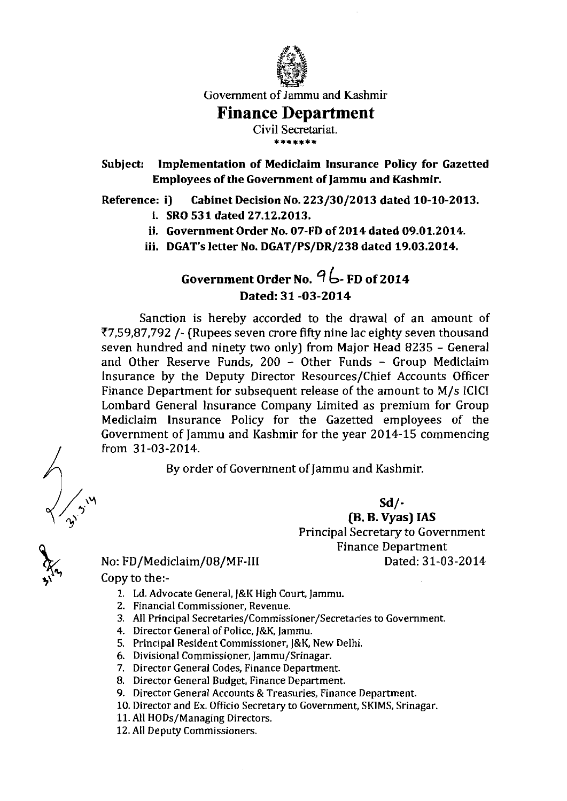

Government of Jammu and Kashmir

## **Finance Department**

Civil Secretariat.

**Subject: Implementation of Mediclaim lnsurance Policy for Gazetted Employees of the Government of Jammu and Kashmir.** 

**Reference: i) Cabinet Decision No. 223/30/2013 dated 10-10-2013.** 

- **i. SRO 531 dated 27.12.2013.**
- **ii. Government Order No. 07-FD of 2014 dated 09.01.2014.**
- **iii. DGAT's letter No. DGAT/PS/DR/238 dated 19.03.2014.**

**Government Order No. 9 6- FD of <sup>2014</sup> Dated: 31 -03-2014** 

Sanction is hereby accorded to the drawal of an amount of 77,59,87,792 /- (Rupees seven crore **fifty** nine lac eighty seven thousand seven hundred and ninety two only) from Major Head 8235 - General and Other Reserve Funds, 200 - Other Funds - Group Mediclaim lnsurance by the Deputy Director Resources/Chief Accounts Officer Finance Department for subsequent release of the amount to M/s lClCI Lombard General lnsurance Company Limited as premium for Group Mediclaim lnsurance Policy for the Gazetted employees of the Government of Jammu and Kashmir for the year 2014-15 commencing from 31-03-2014.

By order of Government of Jammu and Kashmir.

**Sd/-** 

**(B.** B. **Vyas)** IAS Principal Secretary to Government Finance Department No: FD/Mediclaim/08/MF-III Dated: 31-03-2014

Copy to the:-

- 1. Ld. Advocate General, j&K High Court, Jammu.
- 2. Financial Commissioner, Revenue.
- 3. All Principal **Secretaries/Commissioner/Secretaries** to Government.
- 4. Director General of Police, J&K, jammu.
- 5. Principal Resident Commissioner, j&K, New Delhi.
- 6. Divisional Commissioner, Jammu/Srinagar.
- 7. Director General Codes, Finance Department.
- 8. Director General Budget, Finance Department.
- 9. Director General Accounts & Treasuries, Finance Department.
- 10. Director and Ex. Officio Secretary to Government, SKIMS, Srinagar.
- 11. All HODs/Managing Directors.
- 12. All Deputy Commissioners.